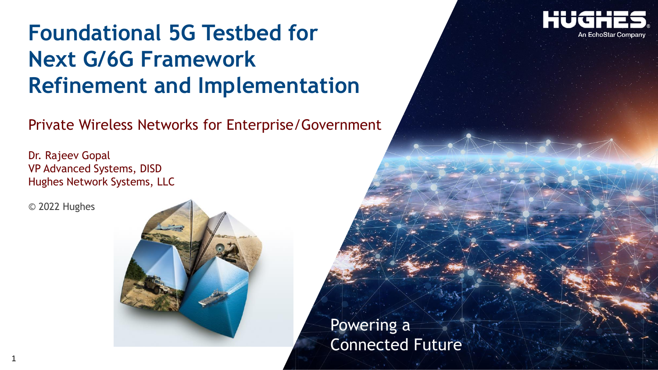# **Foundational 5G Testbed for Next G/6G Framework Refinement and Implementation**

Private Wireless Networks for Enterprise/Government

Dr. Rajeev Gopal VP Advanced Systems, DISD Hughes Network Systems, LLC

© 2022 Hughes

1



**An EchoStar Company** 

Powering a Connected Future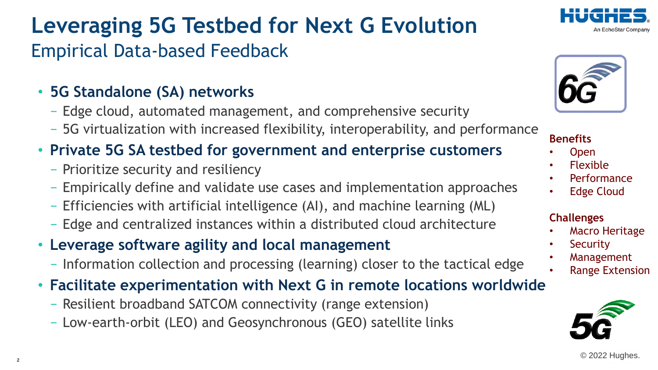#### © 2022 Hughes.

# **Leveraging 5G Testbed for Next G Evolution** Empirical Data-based Feedback

- **5G Standalone (SA) networks**
	- − Edge cloud, automated management, and comprehensive security
	- − 5G virtualization with increased flexibility, interoperability, and performance
- **Private 5G SA testbed for government and enterprise customers** 
	- − Prioritize security and resiliency
	- − Empirically define and validate use cases and implementation approaches
	- − Efficiencies with artificial intelligence (AI), and machine learning (ML)
	- − Edge and centralized instances within a distributed cloud architecture
- **Leverage software agility and local management** 
	- − Information collection and processing (learning) closer to the tactical edge
- **Facilitate experimentation with Next G in remote locations worldwide**
	- − Resilient broadband SATCOM connectivity (range extension)
	- − Low-earth-orbit (LEO) and Geosynchronous (GEO) satellite links



### **Benefits**

- Open
- Flexible
- **Performance**
- **Edge Cloud**

#### **Challenges**

- Macro Heritage
- **Security**
- **Management** 
	- Range Extension



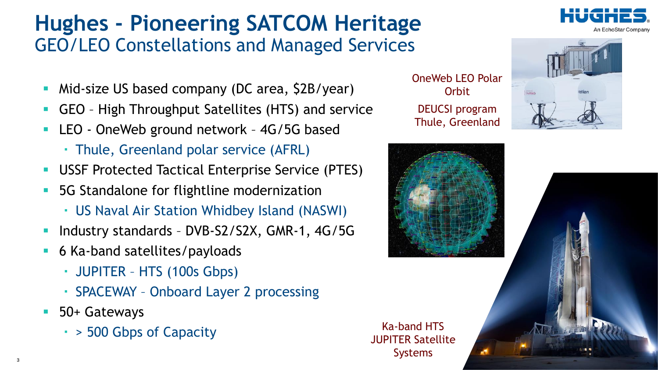# **Hughes - Pioneering SATCOM Heritage** GEO/LEO Constellations and Managed Services

- Mid-size US based company (DC area,  $$2B/year$ )
- GEO High Throughput Satellites (HTS) and service
- LEO OneWeb ground network 4G/5G based
	- ・ Thule, Greenland polar service (AFRL)
- **USSF Protected Tactical Enterprise Service (PTES)**
- **5G Standalone for flightline modernization** 
	- ・ US Naval Air Station Whidbey Island (NASWI)
- Industry standards DVB-S2/S2X, GMR-1, 4G/5G
- 6 Ka-band satellites/payloads
	- ・ JUPITER HTS (100s Gbps)
	- ・ SPACEWAY Onboard Layer 2 processing
- 50+ Gateways
	- ・ > 500 Gbps of Capacity

OneWeb LEO Polar **Orbit** DEUCSI program Thule, Greenland



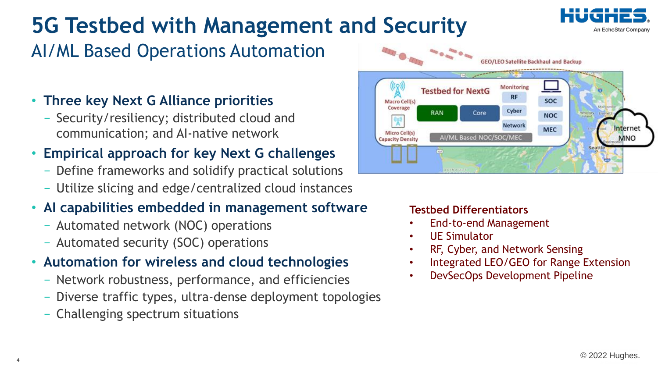

# **5G Testbed with Management and Security**

## AI/ML Based Operations Automation

### • **Three key Next G Alliance priorities**

− Security/resiliency; distributed cloud and communication; and AI-native network

## • **Empirical approach for key Next G challenges**

- − Define frameworks and solidify practical solutions
- − Utilize slicing and edge/centralized cloud instances

## • **AI capabilities embedded in management software**

- − Automated network (NOC) operations
- − Automated security (SOC) operations

### • **Automation for wireless and cloud technologies**

- − Network robustness, performance, and efficiencies
- − Diverse traffic types, ultra-dense deployment topologies
- − Challenging spectrum situations



#### **Testbed Differentiators**

- End-to-end Management
- UE Simulator
- RF, Cyber, and Network Sensing
- Integrated LEO/GEO for Range Extension
- DevSecOps Development Pipeline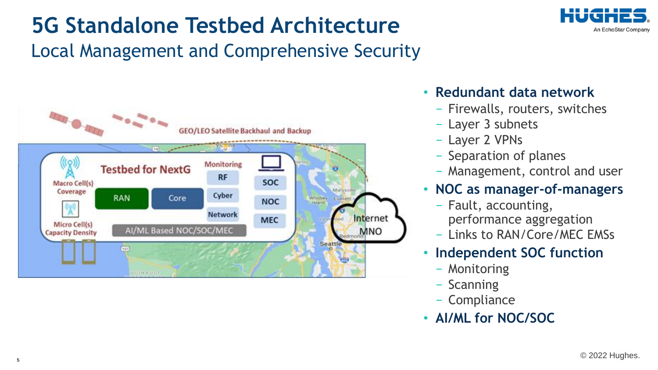

# **5G Standalone Testbed Architecture**

Local Management and Comprehensive Security



### • **Redundant data network**

- − Firewalls, routers, switches
- − Layer 3 subnets
- − Layer 2 VPNs
- − Separation of planes
- − Management, control and user

### • **NOC as manager-of-managers**

- − Fault, accounting, performance aggregation
- − Links to RAN/Core/MEC EMSs

### • **Independent SOC function**

- − Monitoring
- − Scanning
- − Compliance
- **AI/ML for NOC/SOC**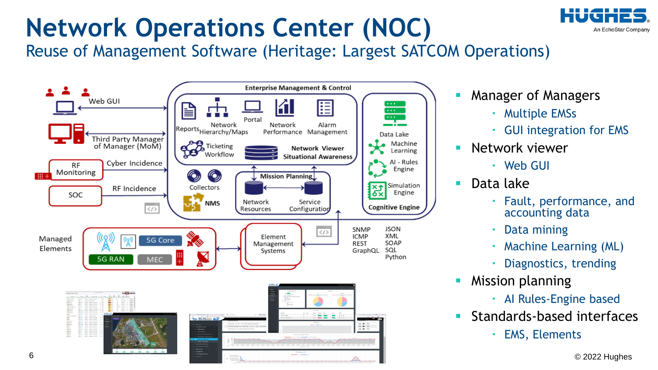# An EchoStar Company

# **Network Operations Center (NOC)**

Reuse of Management Software (Heritage: Largest SATCOM Operations)



- **Manager of Managers** 
	- ・ Multiple EMSs
	- ・ GUI integration for EMS
- Network viewer
	- ・ Web GUI
- Data lake
	- Fault, performance, and accounting data
	- Data mining
	- ・ Machine Learning (ML)
	- Diagnostics, trending
- **Mission planning** 
	- ・ AI Rules-Engine based
- Standards-based interfaces
	- ・ EMS, Elements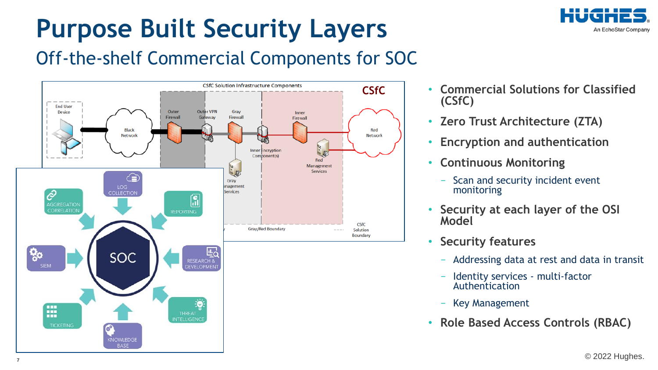

# **Purpose Built Security Layers**

## Off-the-shelf Commercial Components for SOC



- **Commercial Solutions for Classified (CSfC)**
- **Zero Trust Architecture (ZTA)**
- **Encryption and authentication**
- **Continuous Monitoring**
	- Scan and security incident event monitoring
- **Security at each layer of the OSI Model**
- **Security features**
	- − Addressing data at rest and data in transit
	- − Identity services multi-factor Authentication
	- − Key Management
- **Role Based Access Controls (RBAC)**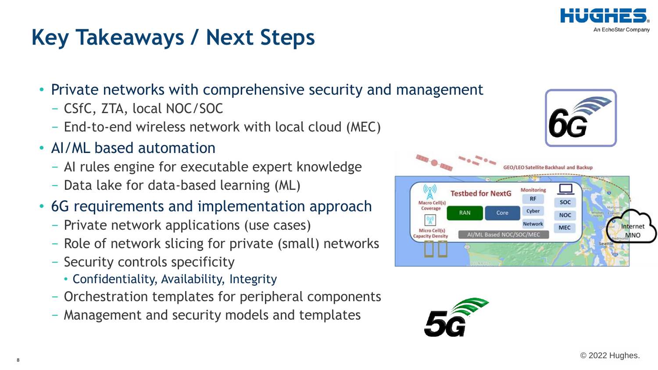

# **Key Takeaways / Next Steps**

- Private networks with comprehensive security and management
	- − CSfC, ZTA, local NOC/SOC
	- − End-to-end wireless network with local cloud (MEC)
- AI/ML based automation
	- − AI rules engine for executable expert knowledge
	- − Data lake for data-based learning (ML)
- 6G requirements and implementation approach
	- − Private network applications (use cases)
	- − Role of network slicing for private (small) networks
	- − Security controls specificity
		- Confidentiality, Availability, Integrity
	- − Orchestration templates for peripheral components
	- − Management and security models and templates